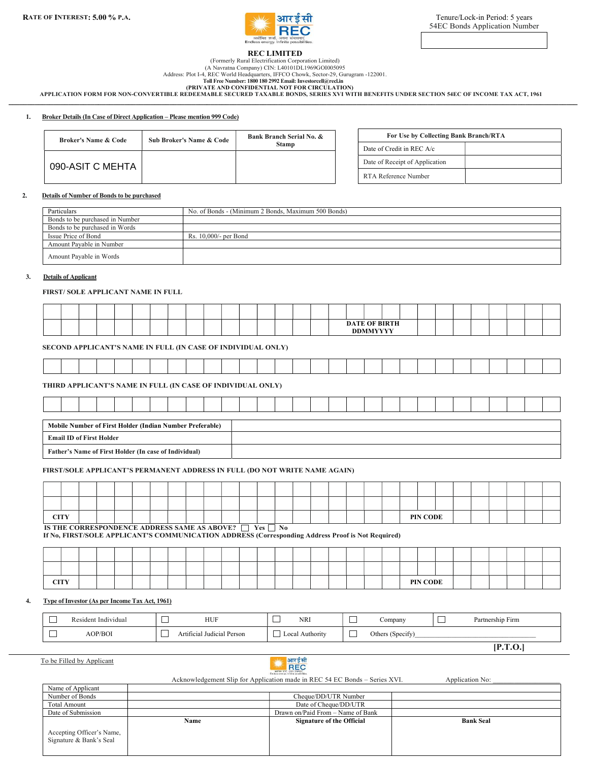

[P.T.O.]

## REC LIMITED

## (Formerly Rural Electrification Corporation Limited)

(A Navratna Company) CIN: L40101DL1969GOI005095 Address: Plot I-4, REC World Headquarters, IFFCO Chowk, Sector-29, Gurugram -122001.

Toll Free Number: 1800 180 2992 Email: Investorcell@recl.in (PRIVATE AND CONFIDENTIAL NOT FOR CIRCULATION)

 APPLICATION FORM FOR NON-CONVERTIBLE REDEEMABLE SECURED TAXABLE BONDS, SERIES XVI WITH BENEFITS UNDER SECTION 54EC OF INCOME TAX ACT, 1961 \_\_\_\_\_\_\_\_\_\_\_\_\_\_\_\_\_\_\_\_\_\_\_\_\_\_\_\_\_\_\_\_\_\_\_\_\_\_\_\_\_\_\_\_\_\_\_\_\_\_\_\_\_\_\_\_\_\_\_\_\_\_\_\_\_\_\_\_\_\_\_\_\_\_\_\_\_\_\_\_\_\_\_\_\_\_\_\_\_\_\_\_\_\_\_\_\_\_\_\_\_\_\_\_\_\_\_\_\_\_\_\_\_\_\_\_\_\_\_\_\_\_\_\_\_\_\_\_\_\_\_\_\_\_\_\_\_\_\_\_\_\_\_\_\_\_\_\_\_\_\_\_

#### 1. Broker Details (In Case of Direct Application – Please mention 999 Code)

| <b>Broker's Name &amp; Code</b> | <b>Sub Broker's Name &amp; Code</b> | <b>Bank Branch Serial No. &amp;</b> | For Use by Collecting Bank Branch/RTA |  |
|---------------------------------|-------------------------------------|-------------------------------------|---------------------------------------|--|
|                                 |                                     | <b>Stamp</b>                        | Date of Credit in REC A/c             |  |
| 090-ASIT C MEHTA                |                                     |                                     | Date of Receipt of Application        |  |
|                                 |                                     |                                     | RTA Reference Number                  |  |

### 2. Details of Number of Bonds to be purchased

| Particulars                     | No. of Bonds - (Minimum 2 Bonds, Maximum 500 Bonds) |
|---------------------------------|-----------------------------------------------------|
| Bonds to be purchased in Number |                                                     |
| Bonds to be purchased in Words  |                                                     |
| Issue Price of Bond             | Rs. 10.000/- per Bond                               |
| Amount Pavable in Number        |                                                     |
| Amount Payable in Words         |                                                     |

#### 3. Details of Applicant

#### FIRST/ SOLE APPLICANT NAME IN FULL

|  |  |  |  |  |  |  |  |  | <b>DDMMWWW</b> | <b>DATE OF BIRTH</b> |  |  |  |  |  |
|--|--|--|--|--|--|--|--|--|----------------|----------------------|--|--|--|--|--|

#### SECOND APPLICANT'S NAME IN FULL (IN CASE OF INDIVIDUAL ONLY)

#### THIRD APPLICANT'S NAME IN FULL (IN CASE OF INDIVIDUAL ONLY)

| Mobile Number of First Holder (Indian Number Preferable) |  |  |  |  |  |  |  |  |  |  |  |  |  |  |
|----------------------------------------------------------|--|--|--|--|--|--|--|--|--|--|--|--|--|--|
| <b>Email ID of First Holder</b>                          |  |  |  |  |  |  |  |  |  |  |  |  |  |  |
| Father's Name of First Holder (In case of Individual)    |  |  |  |  |  |  |  |  |  |  |  |  |  |  |

## FIRST/SOLE APPLICANT'S PERMANENT ADDRESS IN FULL (DO NOT WRITE NAME AGAIN)

| <b>CITY</b> |  |  |  |  |  |  |  |  |  | PIN CODE |  |  |  |  |
|-------------|--|--|--|--|--|--|--|--|--|----------|--|--|--|--|

IS THE CORRESPONDENCE ADDRESS SAME AS ABOVE?  $\Box$  Yes  $\Box$  No If No, FIRST/SOLE APPLICANT'S COMMUNICATION ADDRESS (Corresponding Address Proof is Not Required)

| <b>CITY</b> |  |  |  |  |  |  |  |  |  | PIN CODE |  |  |  |  |
|-------------|--|--|--|--|--|--|--|--|--|----------|--|--|--|--|

#### 4. Type of Investor (As per Income Tax Act, 1961)

| 一      | ıdıvıdua.<br>-In<br>ent | __ | <b>HUF</b>  | ___<br>__    | NRI       | ompany              | -Firm<br>and he was a fill<br>artner |
|--------|-------------------------|----|-------------|--------------|-----------|---------------------|--------------------------------------|
| ______ | OP/ROI                  |    | Person<br>. | _____<br>ACa | Authority | Others<br>(Spec1IV) |                                      |

To be Filled by Applicant



Acknowledgement Slip for Application made in REC 54 EC Bonds – Series XVI. Application No:

|                                                      |      |                                   | .                |
|------------------------------------------------------|------|-----------------------------------|------------------|
| Name of Applicant                                    |      |                                   |                  |
| Number of Bonds                                      |      | Cheque/DD/UTR Number              |                  |
| <b>Total Amount</b>                                  |      | Date of Cheque/DD/UTR             |                  |
| Date of Submission                                   |      | Drawn on/Paid From – Name of Bank |                  |
|                                                      | Name | <b>Signature of the Official</b>  | <b>Bank Seal</b> |
| Accepting Officer's Name,<br>Signature & Bank's Seal |      |                                   |                  |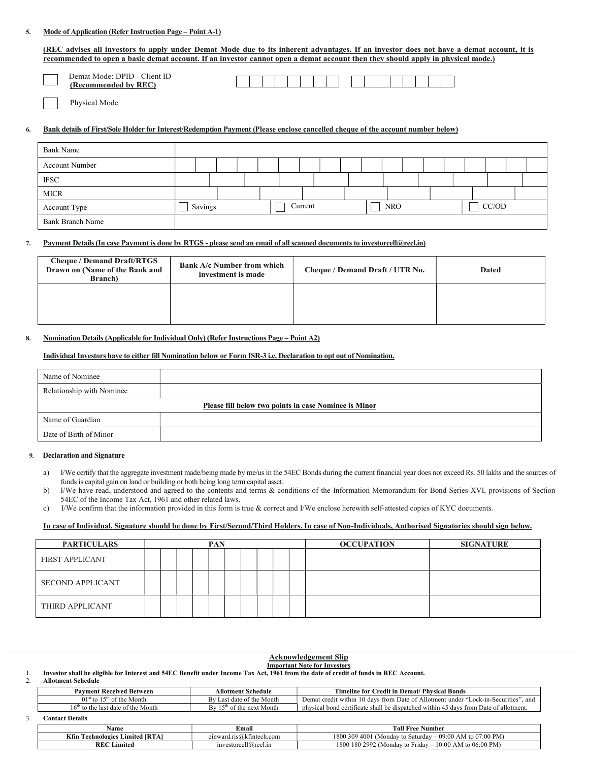## 5. Mode of Application (Refer Instruction Page – Point A-1)

| (REC advises all investors to apply under Demat Mode due to its inherent advantages. If an investor does not have a demat account, it is<br>recommended to open a basic demat account. If an investor cannot open a demat account then they should apply in physical mode.) |         |  |  |         |  |  |            |  |  |  |       |  |
|-----------------------------------------------------------------------------------------------------------------------------------------------------------------------------------------------------------------------------------------------------------------------------|---------|--|--|---------|--|--|------------|--|--|--|-------|--|
| Demat Mode: DPID - Client ID<br>(Recommended by REC)<br>Physical Mode                                                                                                                                                                                                       |         |  |  |         |  |  |            |  |  |  |       |  |
| Bank details of First/Sole Holder for Interest/Redemption Payment (Please enclose cancelled cheque of the account number below)                                                                                                                                             |         |  |  |         |  |  |            |  |  |  |       |  |
| <b>Bank Name</b>                                                                                                                                                                                                                                                            |         |  |  |         |  |  |            |  |  |  |       |  |
| <b>Account Number</b>                                                                                                                                                                                                                                                       |         |  |  |         |  |  |            |  |  |  |       |  |
| <b>IFSC</b>                                                                                                                                                                                                                                                                 |         |  |  |         |  |  |            |  |  |  |       |  |
| <b>MICR</b>                                                                                                                                                                                                                                                                 |         |  |  |         |  |  |            |  |  |  |       |  |
| Account Type                                                                                                                                                                                                                                                                | Savings |  |  | Current |  |  | <b>NRO</b> |  |  |  | CC/OD |  |
| Bank Branch Name                                                                                                                                                                                                                                                            |         |  |  |         |  |  |            |  |  |  |       |  |

## 7. Payment Details (In case Payment is done by RTGS - please send an email of all scanned documents to investorcell@recl.in)

| <b>Cheque / Demand Draft/RTGS</b><br>Drawn on (Name of the Bank and<br><b>Branch</b> ) | <b>Bank A/c Number from which</b><br>investment is made | Cheque / Demand Draft / UTR No. | <b>Dated</b> |
|----------------------------------------------------------------------------------------|---------------------------------------------------------|---------------------------------|--------------|
|                                                                                        |                                                         |                                 |              |

## 8. Nomination Details (Applicable for Individual Only) (Refer Instructions Page – Point A2)

## Individual Investors have to either fill Nomination below or Form ISR-3 i.e. Declaration to opt out of Nomination.

| Name of Nominee           |                                                       |
|---------------------------|-------------------------------------------------------|
| Relationship with Nominee |                                                       |
|                           | Please fill below two points in case Nominee is Minor |
| Name of Guardian          |                                                       |
| Date of Birth of Minor    |                                                       |

## 9. Declaration and Signature

- a) I/We certify that the aggregate investment made/being made by me/us in the 54EC Bonds during the current financial year does not exceed Rs. 50 lakhs and the sources of funds is capital gain on land or building or both being long term capital asset.
- b) I/We have read, understood and agreed to the contents and terms & conditions of the Information Memorandum for Bond Series-XVI, provisions of Section 54EC of the Income Tax Act, 1961 and other related laws.
- c) I/We confirm that the information provided in this form is true & correct and I/We enclose herewith self-attested copies of KYC documents.

#### In case of Individual, Signature should be done by First/Second/Third Holders. In case of Non-Individuals, Authorised Signatories should sign below.

| <b>PARTICULARS</b> |  |  | <b>PAN</b> |  |  |  | <b>OCCUPATION</b> |  | <b>SIGNATURE</b> |  |
|--------------------|--|--|------------|--|--|--|-------------------|--|------------------|--|
| FIRST APPLICANT    |  |  |            |  |  |  |                   |  |                  |  |
| SECOND APPLICANT   |  |  |            |  |  |  |                   |  |                  |  |
| THIRD APPLICANT    |  |  |            |  |  |  |                   |  |                  |  |

#### Acknowledgement Slip Important Note for Investors

1. Investor shall be eligible for Interest and 54EC Benefit under Income Tax Act, 1961 from the date of credit of funds in REC Account. 2. Allotment Schedule

| <b>Payment Received Between</b>        | <b>Allotment Schedule</b>   | <b>Timeline for Credit in Demat/ Physical Bonds</b>                                  |  |  |  |  |
|----------------------------------------|-----------------------------|--------------------------------------------------------------------------------------|--|--|--|--|
| $01st$ to $15th$ of the Month          | By Last date of the Month   | Demat credit within 10 days from Date of Allotment under "Lock-in-Securities", and   |  |  |  |  |
| $16th$ to the last date of the Month   | By $15th$ of the next Month | physical bond certificate shall be dispatched within 45 days from Date of allotment. |  |  |  |  |
| <b>Contact Details</b>                 |                             |                                                                                      |  |  |  |  |
| Name                                   | Email                       | <b>Toll Free Number</b>                                                              |  |  |  |  |
| <b>Kfin Technologies Limited [RTA]</b> | einward.ris@kfintech.com    | 1800 309 4001 (Monday to Saturday – 09:00 AM to 07:00 PM)                            |  |  |  |  |

REC Limited investorcell@recl.in 1800 180 2992 (Monday to Friday – 10:00 AM to 06:00 PM)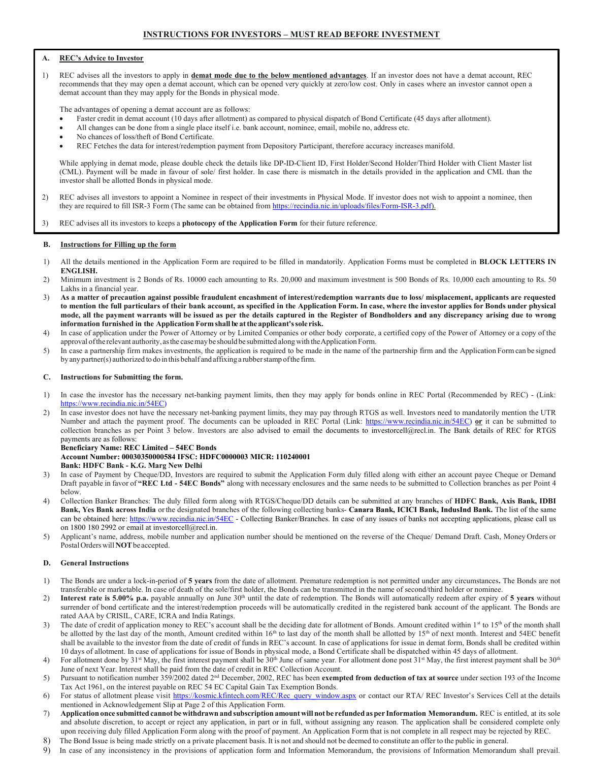## A. REC's Advice to Investor

1) REC advises all the investors to apply in demat mode due to the below mentioned advantages. If an investor does not have a demat account, REC recommends that they may open a demat account, which can be opened very quickly at zero/low cost. Only in cases where an investor cannot open a demat account than they may apply for the Bonds in physical mode.

The advantages of opening a demat account are as follows:

- Faster credit in demat account (10 days after allotment) as compared to physical dispatch of Bond Certificate (45 days after allotment).
- All changes can be done from a single place itself i.e. bank account, nominee, email, mobile no, address etc.
- No chances of loss/theft of Bond Certificate.
- REC Fetches the data for interest/redemption payment from Depository Participant, therefore accuracy increases manifold.

 While applying in demat mode, please double check the details like DP-ID-Client ID, First Holder/Second Holder/Third Holder with Client Master list (CML). Payment will be made in favour of sole/ first holder. In case there is mismatch in the details provided in the application and CML than the investor shall be allotted Bonds in physical mode.

- 2) REC advises all investors to appoint a Nominee in respect of their investments in Physical Mode. If investor does not wish to appoint a nominee, then they are required to fill ISR-3 Form (The same can be obtained from https://recindia.nic.in/uploads/files/Form-ISR-3.pdf).
- 3) REC advises all its investors to keeps a photocopy of the Application Form for their future reference.

### B. Instructions for Filling up the form

- 1) All the details mentioned in the Application Form are required to be filled in mandatorily. Application Forms must be completed in **BLOCK LETTERS IN** ENGLISH.
- 2) Minimum investment is 2 Bonds of Rs. 10000 each amounting to Rs. 20,000 and maximum investment is 500 Bonds of Rs. 10,000 each amounting to Rs. 50 Lakhs in a financial year.
- 3) As a matter of precaution against possible fraudulent encashment of interest/redemption warrants due to loss/ misplacement, applicants are requested to mention the full particulars of their bank account, as specified in the Application Form. In case, where the investor applies for Bonds under physical mode, all the payment warrants will be issued as per the details captured in the Register of Bondholders and any discrepancy arising due to wrong information furnished in the Application Form shall be at the applicant's sole risk.
- 4) In case of application under the Power of Attorney or by Limited Companies or other body corporate, a certified copy of the Power of Attorney or a copy of the approval of the relevant authority, as the case may be should be submitted along with the Application Form.
- 5) In case a partnership firm makes investments, the application is required to be made in the name of the partnership firm and the Application Form can be signed by any partner(s) authorized to do in this behalf and affixing a rubber stamp of the firm.

#### C. Instructions for Submitting the form.

- 1) In case the investor has the necessary net-banking payment limits, then they may apply for bonds online in REC Portal (Recommended by REC) (Link: https://www.recindia.nic.in/54EC)
- 2) In case investor does not have the necessary net-banking payment limits, they may pay through RTGS as well. Investors need to mandatorily mention the UTR Number and attach the payment proof. The documents can be uploaded in REC Portal (Link: https://www.recindia.nic.in/54EC) or it can be submitted to collection branches as per Point 3 below. Investors are also advised to email the documents to investorcell@recl.in. The Bank details of REC for RTGS payments are as follows:

#### Beneficiary Name: REC Limited – 54EC Bonds Account Number: 00030350000584 IFSC: HDFC0000003 MICR: 110240001 Bank: HDFC Bank - K.G. Marg New Delhi

- In case of Payment by Cheque/DD, Investors are required to submit the Application Form duly filled along with either an account payee Cheque or Demand Draft payable in favor of "REC Ltd - 54EC Bonds" along with necessary enclosures and the same needs to be submitted to Collection branches as per Point 4 below.
- 4) Collection Banker Branches: The duly filled form along with RTGS/Cheque/DD details can be submitted at any branches of HDFC Bank, Axis Bank, IDBI Bank, Yes Bank across India or the designated branches of the following collecting banks- Canara Bank, ICICI Bank, IndusInd Bank. The list of the same can be obtained here: https://www.recindia.nic.in/54EC - Collecting Banker/Branches. In case of any issues of banks not accepting applications, please call us on 1800 180 2992 or email at investorcell@recl.in.
- 5) Applicant's name, address, mobile number and application number should be mentioned on the reverse of the Cheque/ Demand Draft. Cash, Money Orders or Postal Orders will NOT be accepted.

## D. General Instructions

- 1) The Bonds are under a lock-in-period of 5 years from the date of allotment. Premature redemption is not permitted under any circumstances. The Bonds are not transferable or marketable. In case of death of the sole/first holder, the Bonds can be transmitted in the name of second/third holder or nominee.
- 2) Interest rate is 5.00% p.a. payable annually on June  $30<sup>th</sup>$  until the date of redemption. The Bonds will automatically redeem after expiry of 5 years without surrender of bond certificate and the interest/redemption proceeds will be automatically credited in the registered bank account of the applicant. The Bonds are rated AAA by CRISIL, CARE, ICRA and India Ratings.
- 3) The date of credit of application money to REC's account shall be the deciding date for allotment of Bonds. Amount credited within  $1<sup>st</sup>$  to  $15<sup>th</sup>$  of the month shall be allotted by the last day of the month, Amount credited within 16<sup>th</sup> to last day of the month shall be allotted by 15<sup>th</sup> of next month. Interest and 54EC benefit shall be available to the investor from the date of credit of funds in REC's account. In case of applications for issue in demat form, Bonds shall be credited within 10 days of allotment. In case of applications for issue of Bonds in physical mode, a Bond Certificate shall be dispatched within 45 days of allotment.
- 4) For allotment done by 31<sup>st</sup> May, the first interest payment shall be 30<sup>th</sup> June of same year. For allotment done post 31<sup>st</sup> May, the first interest payment shall be 30<sup>th</sup> June of next Year. Interest shall be paid from the date of credit in REC Collection Account.
- 5) Pursuant to notification number 359/2002 dated 2<sup>nd</sup> December, 2002, REC has been exempted from deduction of tax at source under section 193 of the Income Tax Act 1961, on the interest payable on REC 54 EC Capital Gain Tax Exemption Bonds.
- 6) For status of allotment please visit https://kosmic.kfintech.com/REC/Rec\_query\_window.aspx or contact our RTA/ REC Investor's Services Cell at the details mentioned in Acknowledgement Slip at Page 2 of this Application Form.
- 7) Application once submitted cannot be withdrawn and subscription amount will not be refunded as per Information Memorandum. REC is entitled, at its sole and absolute discretion, to accept or reject any application, in part or in full, without assigning any reason. The application shall be considered complete only upon receiving duly filled Application Form along with the proof of payment. An Application Form that is not complete in all respect may be rejected by REC.
- 8) The Bond Issue is being made strictly on a private placement basis. It is not and should not be deemed to constitute an offer to the public in general.
- 9) In case of any inconsistency in the provisions of application form and Information Memorandum, the provisions of Information Memorandum shall prevail.